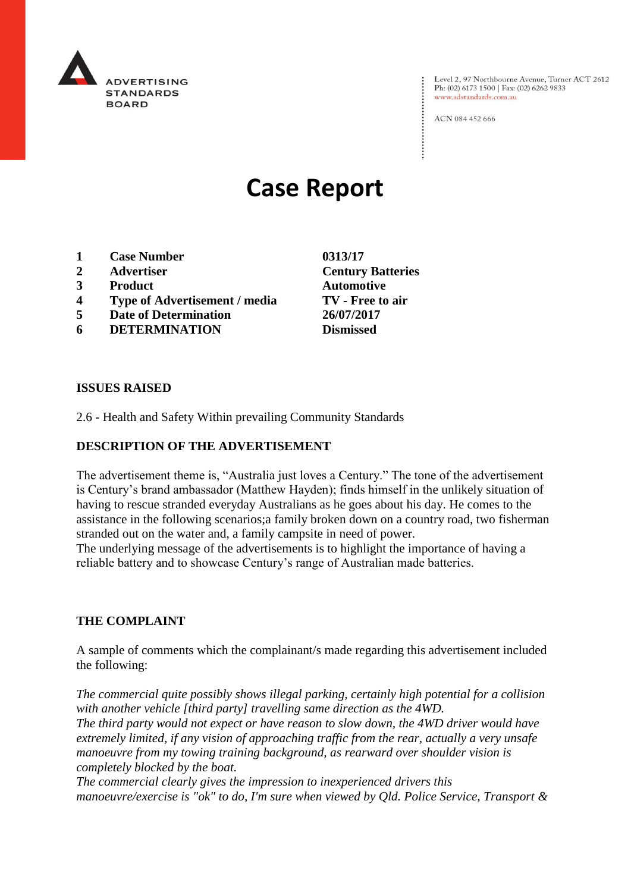

Level 2, 97 Northbourne Avenue, Turner ACT 2612 Ph: (02) 6173 1500 | Fax: (02) 6262 9833 www.adstandards.com.au

ACN 084 452 666

# **Case Report**

- **1 Case Number 0313/17**
- **2 Advertiser Century Batteries**
- **3 Product Automotive**
- **4 Type of Advertisement / media TV - Free to air**
- **5 Date of Determination 26/07/2017**
- **6 DETERMINATION Dismissed**

**ISSUES RAISED**

2.6 - Health and Safety Within prevailing Community Standards

### **DESCRIPTION OF THE ADVERTISEMENT**

The advertisement theme is, "Australia just loves a Century." The tone of the advertisement is Century's brand ambassador (Matthew Hayden); finds himself in the unlikely situation of having to rescue stranded everyday Australians as he goes about his day. He comes to the assistance in the following scenarios;a family broken down on a country road, two fisherman stranded out on the water and, a family campsite in need of power.

The underlying message of the advertisements is to highlight the importance of having a reliable battery and to showcase Century's range of Australian made batteries.

#### **THE COMPLAINT**

A sample of comments which the complainant/s made regarding this advertisement included the following:

*The commercial quite possibly shows illegal parking, certainly high potential for a collision with another vehicle [third party] travelling same direction as the 4WD. The third party would not expect or have reason to slow down, the 4WD driver would have extremely limited, if any vision of approaching traffic from the rear, actually a very unsafe manoeuvre from my towing training background, as rearward over shoulder vision is completely blocked by the boat.*

*The commercial clearly gives the impression to inexperienced drivers this manoeuvre/exercise is "ok" to do, I'm sure when viewed by Qld. Police Service, Transport &*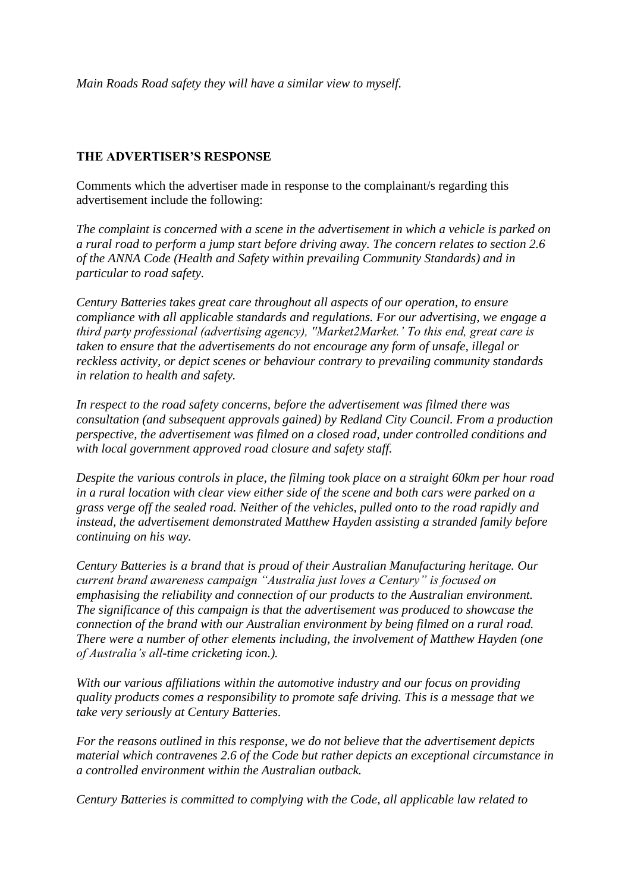*Main Roads Road safety they will have a similar view to myself.*

#### **THE ADVERTISER'S RESPONSE**

Comments which the advertiser made in response to the complainant/s regarding this advertisement include the following:

*The complaint is concerned with a scene in the advertisement in which a vehicle is parked on a rural road to perform a jump start before driving away. The concern relates to section 2.6 of the ANNA Code (Health and Safety within prevailing Community Standards) and in particular to road safety.*

*Century Batteries takes great care throughout all aspects of our operation, to ensure compliance with all applicable standards and regulations. For our advertising, we engage a third party professional (advertising agency), ''Market2Market.' To this end, great care is taken to ensure that the advertisements do not encourage any form of unsafe, illegal or reckless activity, or depict scenes or behaviour contrary to prevailing community standards in relation to health and safety.*

*In respect to the road safety concerns, before the advertisement was filmed there was consultation (and subsequent approvals gained) by Redland City Council. From a production perspective, the advertisement was filmed on a closed road, under controlled conditions and with local government approved road closure and safety staff.*

*Despite the various controls in place, the filming took place on a straight 60km per hour road in a rural location with clear view either side of the scene and both cars were parked on a grass verge off the sealed road. Neither of the vehicles, pulled onto to the road rapidly and instead, the advertisement demonstrated Matthew Hayden assisting a stranded family before continuing on his way.*

*Century Batteries is a brand that is proud of their Australian Manufacturing heritage. Our current brand awareness campaign "Australia just loves a Century" is focused on emphasising the reliability and connection of our products to the Australian environment. The significance of this campaign is that the advertisement was produced to showcase the connection of the brand with our Australian environment by being filmed on a rural road. There were a number of other elements including, the involvement of Matthew Hayden (one of Australia's all-time cricketing icon.).*

*With our various affiliations within the automotive industry and our focus on providing quality products comes a responsibility to promote safe driving. This is a message that we take very seriously at Century Batteries.*

*For the reasons outlined in this response, we do not believe that the advertisement depicts material which contravenes 2.6 of the Code but rather depicts an exceptional circumstance in a controlled environment within the Australian outback.*

*Century Batteries is committed to complying with the Code, all applicable law related to*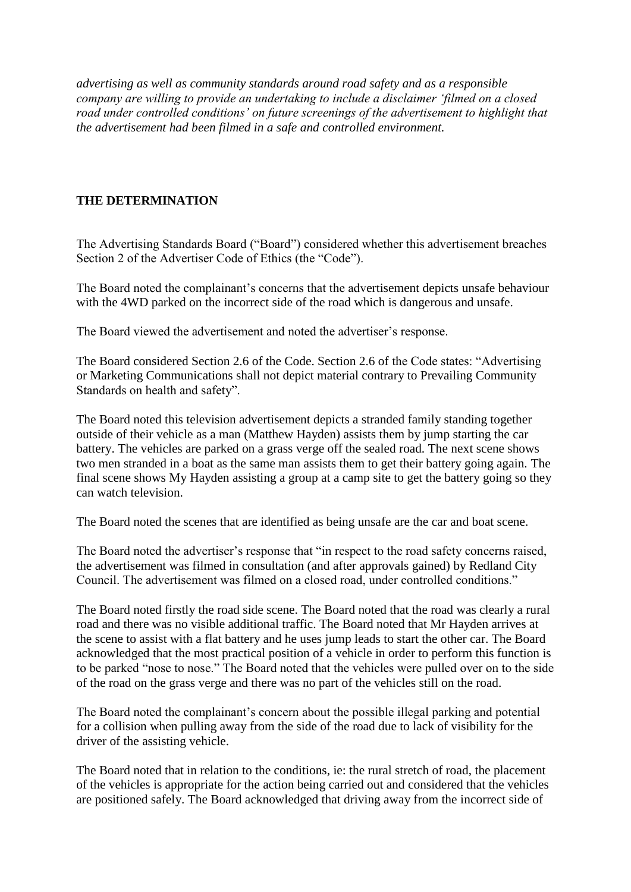*advertising as well as community standards around road safety and as a responsible company are willing to provide an undertaking to include a disclaimer 'filmed on a closed road under controlled conditions' on future screenings of the advertisement to highlight that the advertisement had been filmed in a safe and controlled environment.*

## **THE DETERMINATION**

The Advertising Standards Board ("Board") considered whether this advertisement breaches Section 2 of the Advertiser Code of Ethics (the "Code").

The Board noted the complainant's concerns that the advertisement depicts unsafe behaviour with the 4WD parked on the incorrect side of the road which is dangerous and unsafe.

The Board viewed the advertisement and noted the advertiser's response.

The Board considered Section 2.6 of the Code. Section 2.6 of the Code states: "Advertising or Marketing Communications shall not depict material contrary to Prevailing Community Standards on health and safety".

The Board noted this television advertisement depicts a stranded family standing together outside of their vehicle as a man (Matthew Hayden) assists them by jump starting the car battery. The vehicles are parked on a grass verge off the sealed road. The next scene shows two men stranded in a boat as the same man assists them to get their battery going again. The final scene shows My Hayden assisting a group at a camp site to get the battery going so they can watch television.

The Board noted the scenes that are identified as being unsafe are the car and boat scene.

The Board noted the advertiser's response that "in respect to the road safety concerns raised, the advertisement was filmed in consultation (and after approvals gained) by Redland City Council. The advertisement was filmed on a closed road, under controlled conditions."

The Board noted firstly the road side scene. The Board noted that the road was clearly a rural road and there was no visible additional traffic. The Board noted that Mr Hayden arrives at the scene to assist with a flat battery and he uses jump leads to start the other car. The Board acknowledged that the most practical position of a vehicle in order to perform this function is to be parked "nose to nose." The Board noted that the vehicles were pulled over on to the side of the road on the grass verge and there was no part of the vehicles still on the road.

The Board noted the complainant's concern about the possible illegal parking and potential for a collision when pulling away from the side of the road due to lack of visibility for the driver of the assisting vehicle.

The Board noted that in relation to the conditions, ie: the rural stretch of road, the placement of the vehicles is appropriate for the action being carried out and considered that the vehicles are positioned safely. The Board acknowledged that driving away from the incorrect side of